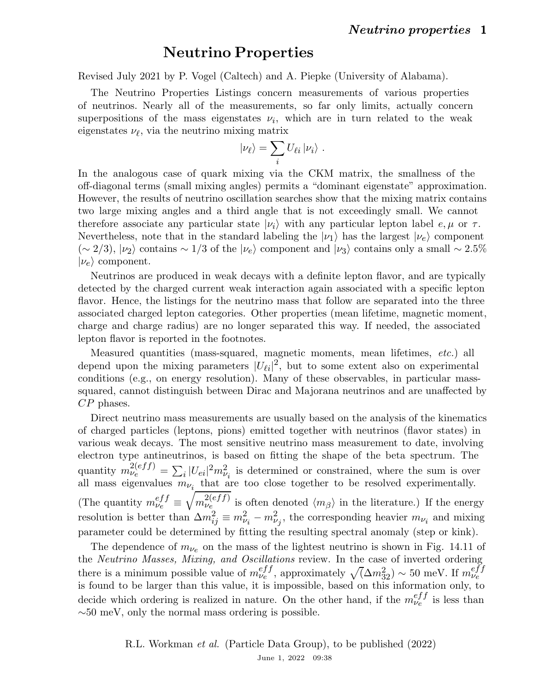## Neutrino Properties

Revised July 2021 by P. Vogel (Caltech) and A. Piepke (University of Alabama).

The Neutrino Properties Listings concern measurements of various properties of neutrinos. Nearly all of the measurements, so far only limits, actually concern superpositions of the mass eigenstates  $\nu_i$ , which are in turn related to the weak eigenstates  $\nu_{\ell}$ , via the neutrino mixing matrix

$$
|\nu_{\ell}\rangle = \sum_{i} U_{\ell i} |\nu_{i}\rangle.
$$

In the analogous case of quark mixing via the CKM matrix, the smallness of the off-diagonal terms (small mixing angles) permits a "dominant eigenstate" approximation. However, the results of neutrino oscillation searches show that the mixing matrix contains two large mixing angles and a third angle that is not exceedingly small. We cannot therefore associate any particular state  $|\nu_i\rangle$  with any particular lepton label  $e, \mu$  or  $\tau$ . Nevertheless, note that in the standard labeling the  $|\nu_1\rangle$  has the largest  $|\nu_e\rangle$  component  $(\sim 2/3)$ ,  $|\nu_2\rangle$  contains  $\sim 1/3$  of the  $|\nu_e\rangle$  component and  $|\nu_3\rangle$  contains only a small  $\sim 2.5\%$  $|\nu_e\rangle$  component.

Neutrinos are produced in weak decays with a definite lepton flavor, and are typically detected by the charged current weak interaction again associated with a specific lepton flavor. Hence, the listings for the neutrino mass that follow are separated into the three associated charged lepton categories. Other properties (mean lifetime, magnetic moment, charge and charge radius) are no longer separated this way. If needed, the associated lepton flavor is reported in the footnotes.

Measured quantities (mass-squared, magnetic moments, mean lifetimes, etc.) all depend upon the mixing parameters  $|U_{\ell i}|^2$ , but to some extent also on experimental conditions (e.g., on energy resolution). Many of these observables, in particular masssquared, cannot distinguish between Dirac and Majorana neutrinos and are unaffected by CP phases.

Direct neutrino mass measurements are usually based on the analysis of the kinematics of charged particles (leptons, pions) emitted together with neutrinos (flavor states) in various weak decays. The most sensitive neutrino mass measurement to date, involving electron type antineutrinos, is based on fitting the shape of the beta spectrum. The quantity  $m_{\nu_e}^{2(eff)} = \sum_i |U_{ei}|^2 m_{\nu_i}^2$  is determined or constrained, where the sum is over all mass eigenvalues  $m_{\nu_i}$  that are too close together to be resolved experimentally. (The quantity  $m_{\nu e}^{eff} \equiv \sqrt{m_{\nu e}^{2(eff)}}$  $\mathcal{L}_{\nu_e}^{(eff)}$  is often denoted  $\langle m_\beta \rangle$  in the literature.) If the energy resolution is better than  $\Delta m_{ij}^2 \equiv m_{\nu_i}^2 - m_{\nu_j}^2$ , the corresponding heavier  $m_{\nu_i}$  and mixing parameter could be determined by fitting the resulting spectral anomaly (step or kink).

The dependence of  $m_{\nu_e}$  on the mass of the lightest neutrino is shown in Fig. 14.11 of the Neutrino Masses, Mixing, and Oscillations review. In the case of inverted ordering there is a minimum possible value of  $m_{\nu e}^{eff}$ , approximately  $\sqrt{(\Delta m_{32}^2)} \sim 50$  meV. If  $m_{\nu e}^{eff}$ is found to be larger than this value, it is impossible, based on this information only, to decide which ordering is realized in nature. On the other hand, if the  $m_{\nu}^{eff}$  is less than  $\sim 50$  meV, only the normal mass ordering is possible.

> R.L. Workman et al. (Particle Data Group), to be published (2022) June 1, 2022 09:38